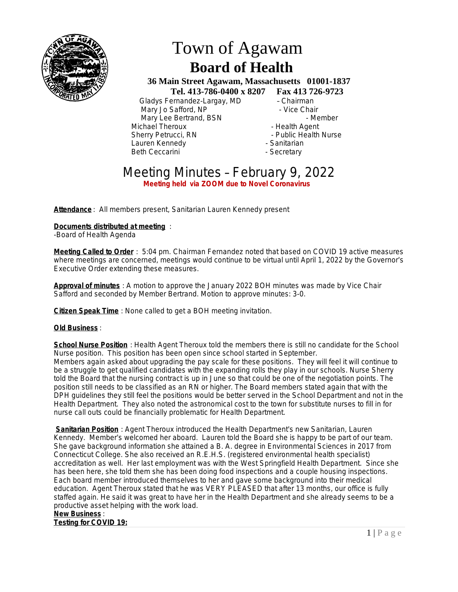

# Town of Agawam  **Board of Health**

 **36 Main Street Agawam, Massachusetts 01001-1837 Tel. 413-786-0400 x 8207 Fax 413 726-9723**

 Gladys Fernandez-Largay, MD – Chairman Mary Jo Safford, NP - Contract - Vice Chair Mary Lee Bertrand, BSN - Member Michael Theroux - All and the Health Agent<br>
Sherry Petrucci, RN - All and the Public Health Lauren Kennedy Beth Ceccarini **- Secretary** - Secretary

- Public Health Nurse<br>- Sanitarian
- 

## Meeting Minutes – February 9, 2022 **Meeting held via ZOOM due to Novel Coronavirus**

**Attendance** : All members present, Sanitarian Lauren Kennedy present

#### **Documents distributed at meeting** :

-Board of Health Agenda

**Meeting Called to Order** : 5:04 pm. Chairman Fernandez noted that based on COVID 19 active measures where meetings are concerned, meetings would continue to be virtual until April 1, 2022 by the Governor's Executive Order extending these measures.

**Approval of minutes** : A motion to approve the January 2022 BOH minutes was made by Vice Chair Safford and seconded by Member Bertrand. Motion to approve minutes: 3-0.

**Citizen Speak Time** : None called to get a BOH meeting invitation.

#### **Old Business** :

**School Nurse Position** : Health Agent Theroux told the members there is still no candidate for the School Nurse position. This position has been open since school started in September. Members again asked about upgrading the pay scale for these positions. They will feel it will continue to be a struggle to get qualified candidates with the expanding rolls they play in our schools. Nurse Sherry told the Board that the nursing contract is up in June so that could be one of the negotiation points. The position still needs to be classified as an RN or higher. The Board members stated again that with the DPH guidelines they still feel the positions would be better served in the School Department and not in the Health Department. They also noted the astronomical cost to the town for substitute nurses to fill in for nurse call outs could be financially problematic for Health Department.

**Sanitarian Position** : Agent Theroux introduced the Health Department's new Sanitarian, Lauren Kennedy. Member's welcomed her aboard. Lauren told the Board she is happy to be part of our team. She gave background information she attained a B. A. degree in Environmental Sciences in 2017 from Connecticut College. She also received an R.E.H.S. (registered environmental health specialist) accreditation as well. Her last employment was with the West Springfield Health Department. Since she has been here, she told them she has been doing food inspections and a couple housing inspections. Each board member introduced themselves to her and gave some background into their medical education. Agent Theroux stated that he was VERY PLEASED that after 13 months, our office is fully staffed again. He said it was great to have her in the Health Department and she already seems to be a productive asset helping with the work load.

### **New Business** :

**Testing for COVID 19:**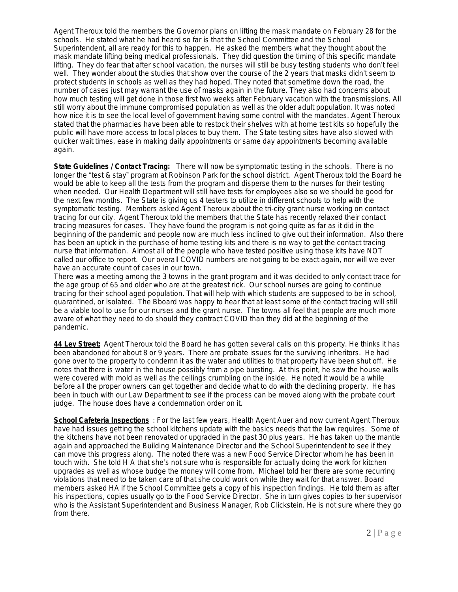Agent Theroux told the members the Governor plans on lifting the mask mandate on February 28 for the schools. He stated what he had heard so far is that the School Committee and the School Superintendent, all are ready for this to happen. He asked the members what they thought about the mask mandate lifting being medical professionals. They did question the timing of this specific mandate lifting. They do fear that after school vacation, the nurses will still be busy testing students who don't feel well. They wonder about the studies that show over the course of the 2 years that masks didn't seem to protect students in schools as well as they had hoped. They noted that sometime down the road, the number of cases just may warrant the use of masks again in the future. They also had concerns about how much testing will get done in those first two weeks after February vacation with the transmissions. All still worry about the immune compromised population as well as the older adult population. It was noted how nice it is to see the local level of government having some control with the mandates. Agent Theroux stated that the pharmacies have been able to restock their shelves with at home test kits so hopefully the public will have more access to local places to buy them. The State testing sites have also slowed with quicker wait times, ease in making daily appointments or same day appointments becoming available again.

**State Guidelines / Contact Tracing:** There will now be symptomatic testing in the schools. There is no longer the "test & stay" program at Robinson Park for the school district. Agent Theroux told the Board he would be able to keep all the tests from the program and disperse them to the nurses for their testing when needed. Our Health Department will still have tests for employees also so we should be good for the next few months. The State is giving us 4 testers to utilize in different schools to help with the symptomatic testing. Members asked Agent Theroux about the tri-city grant nurse working on contact tracing for our city. Agent Theroux told the members that the State has recently relaxed their contact tracing measures for cases. They have found the program is not going quite as far as it did in the beginning of the pandemic and people now are much less inclined to give out their information. Also there has been an uptick in the purchase of home testing kits and there is no way to get the contact tracing nurse that information. Almost all of the people who have tested positive using those kits have NOT called our office to report. Our overall COVID numbers are not going to be exact again, nor will we ever have an accurate count of cases in our town.

There was a meeting among the 3 towns in the grant program and it was decided to only contact trace for the age group of 65 and older who are at the greatest rick. Our school nurses are going to continue tracing for their school aged population. That will help with which students are supposed to be in school, quarantined, or isolated. The Bboard was happy to hear that at least some of the contact tracing will still be a viable tool to use for our nurses and the grant nurse. The towns all feel that people are much more aware of what they need to do should they contract COVID than they did at the beginning of the pandemic.

**44 Ley Street:** Agent Theroux told the Board he has gotten several calls on this property. He thinks it has been abandoned for about 8 or 9 years. There are probate issues for the surviving inheritors. He had gone over to the property to condemn it as the water and utilities to that property have been shut off. He notes that there is water in the house possibly from a pipe bursting. At this point, he saw the house walls were covered with mold as well as the ceilings crumbling on the inside. He noted it would be a while before all the proper owners can get together and decide what to do with the declining property. He has been in touch with our Law Department to see if the process can be moved along with the probate court judge. The house does have a condemnation order on it.

**School Cafeteria Inspections** : For the last few years, Health Agent Auer and now current Agent Theroux have had issues getting the school kitchens update with the basics needs that the law requires. Some of the kitchens have not been renovated or upgraded in the past 30 plus years. He has taken up the mantle again and approached the Building Maintenance Director and the School Superintendent to see if they can move this progress along. The noted there was a new Food Service Director whom he has been in touch with. She told H A that she's not sure who is responsible for actually doing the work for kitchen upgrades as well as whose budge the money will come from. Michael told her there are some recurring violations that need to be taken care of that she could work on while they wait for that answer. Board members asked HA if the School Committee gets a copy of his inspection findings. He told them as after his inspections, copies usually go to the Food Service Director. She in turn gives copies to her supervisor who is the Assistant Superintendent and Business Manager, Rob Clickstein. He is not sure where they go from there.